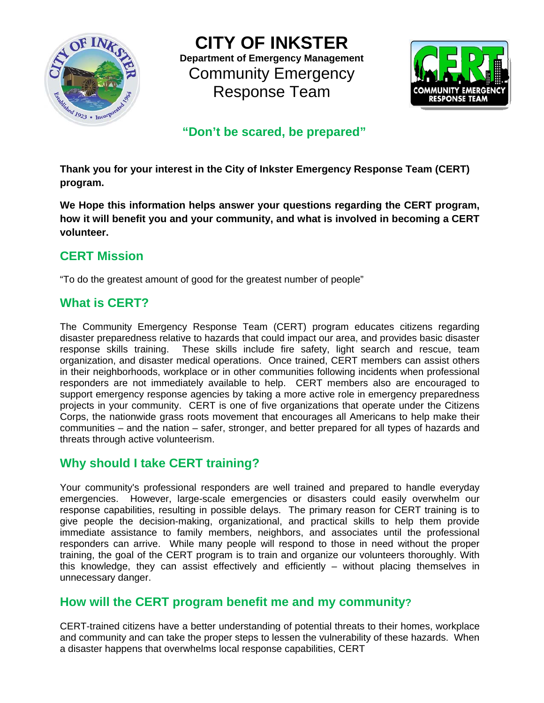

**CITY OF INKSTER Department of Emergency Management**  Community Emergency Response Team



#### **"Don't be scared, be prepared"**

**Thank you for your interest in the City of Inkster Emergency Response Team (CERT) program.** 

**We Hope this information helps answer your questions regarding the CERT program, how it will benefit you and your community, and what is involved in becoming a CERT volunteer.** 

#### **CERT Mission**

"To do the greatest amount of good for the greatest number of people"

#### **What is CERT?**

The Community Emergency Response Team (CERT) program educates citizens regarding disaster preparedness relative to hazards that could impact our area, and provides basic disaster response skills training. These skills include fire safety, light search and rescue, team organization, and disaster medical operations. Once trained, CERT members can assist others in their neighborhoods, workplace or in other communities following incidents when professional responders are not immediately available to help. CERT members also are encouraged to support emergency response agencies by taking a more active role in emergency preparedness projects in your community. CERT is one of five organizations that operate under the Citizens Corps, the nationwide grass roots movement that encourages all Americans to help make their communities – and the nation – safer, stronger, and better prepared for all types of hazards and threats through active volunteerism.

### **Why should I take CERT training?**

Your community's professional responders are well trained and prepared to handle everyday emergencies. However, large-scale emergencies or disasters could easily overwhelm our response capabilities, resulting in possible delays. The primary reason for CERT training is to give people the decision-making, organizational, and practical skills to help them provide immediate assistance to family members, neighbors, and associates until the professional responders can arrive. While many people will respond to those in need without the proper training, the goal of the CERT program is to train and organize our volunteers thoroughly. With this knowledge, they can assist effectively and efficiently – without placing themselves in unnecessary danger.

#### **How will the CERT program benefit me and my community?**

CERT-trained citizens have a better understanding of potential threats to their homes, workplace and community and can take the proper steps to lessen the vulnerability of these hazards. When a disaster happens that overwhelms local response capabilities, CERT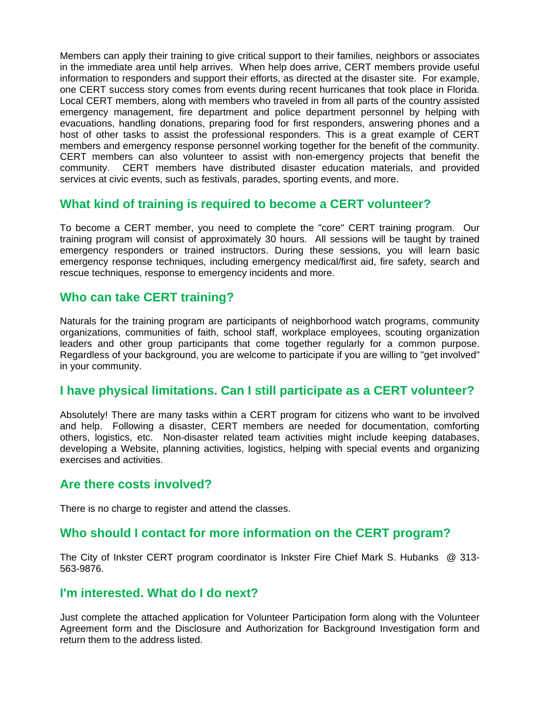Members can apply their training to give critical support to their families, neighbors or associates in the immediate area until help arrives. When help does arrive, CERT members provide useful information to responders and support their efforts, as directed at the disaster site. For example, one CERT success story comes from events during recent hurricanes that took place in Florida. Local CERT members, along with members who traveled in from all parts of the country assisted emergency management, fire department and police department personnel by helping with evacuations, handling donations, preparing food for first responders, answering phones and a host of other tasks to assist the professional responders. This is a great example of CERT members and emergency response personnel working together for the benefit of the community. CERT members can also volunteer to assist with non-emergency projects that benefit the community. CERT members have distributed disaster education materials, and provided services at civic events, such as festivals, parades, sporting events, and more.

#### **What kind of training is required to become a CERT volunteer?**

To become a CERT member, you need to complete the "core" CERT training program. Our training program will consist of approximately 30 hours. All sessions will be taught by trained emergency responders or trained instructors. During these sessions, you will learn basic emergency response techniques, including emergency medical/first aid, fire safety, search and rescue techniques, response to emergency incidents and more.

#### **Who can take CERT training?**

Naturals for the training program are participants of neighborhood watch programs, community organizations, communities of faith, school staff, workplace employees, scouting organization leaders and other group participants that come together regularly for a common purpose. Regardless of your background, you are welcome to participate if you are willing to "get involved" in your community.

#### **I have physical limitations. Can I still participate as a CERT volunteer?**

Absolutely! There are many tasks within a CERT program for citizens who want to be involved and help. Following a disaster, CERT members are needed for documentation, comforting others, logistics, etc. Non-disaster related team activities might include keeping databases, developing a Website, planning activities, logistics, helping with special events and organizing exercises and activities.

#### **Are there costs involved?**

There is no charge to register and attend the classes.

#### **Who should I contact for more information on the CERT program?**

The City of Inkster CERT program coordinator is Inkster Fire Chief Mark S. Hubanks @ 313- 563-9876.

#### **I'm interested. What do I do next?**

Just complete the attached application for Volunteer Participation form along with the Volunteer Agreement form and the Disclosure and Authorization for Background Investigation form and return them to the address listed.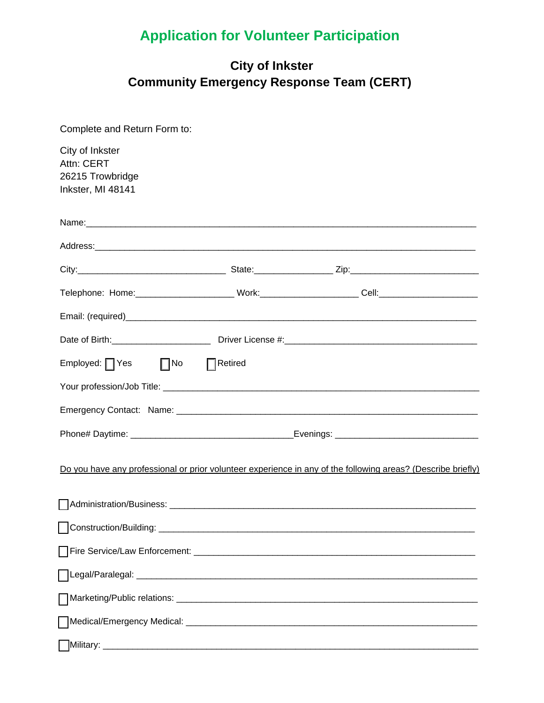# **Application for Volunteer Participation**

# **City of Inkster Community Emergency Response Team (CERT)**

| Complete and Return Form to:                                                                                 |  |  |  |  |
|--------------------------------------------------------------------------------------------------------------|--|--|--|--|
| City of Inkster<br>Attn: CERT<br>26215 Trowbridge<br>Inkster, MI 48141                                       |  |  |  |  |
|                                                                                                              |  |  |  |  |
|                                                                                                              |  |  |  |  |
|                                                                                                              |  |  |  |  |
| Telephone: Home: __________________________Work: _______________________Cell: ______________________         |  |  |  |  |
|                                                                                                              |  |  |  |  |
|                                                                                                              |  |  |  |  |
| Employed: Yes No Retired                                                                                     |  |  |  |  |
|                                                                                                              |  |  |  |  |
|                                                                                                              |  |  |  |  |
|                                                                                                              |  |  |  |  |
| Do you have any professional or prior volunteer experience in any of the following areas? (Describe briefly) |  |  |  |  |
|                                                                                                              |  |  |  |  |
|                                                                                                              |  |  |  |  |
|                                                                                                              |  |  |  |  |
|                                                                                                              |  |  |  |  |
|                                                                                                              |  |  |  |  |
|                                                                                                              |  |  |  |  |
|                                                                                                              |  |  |  |  |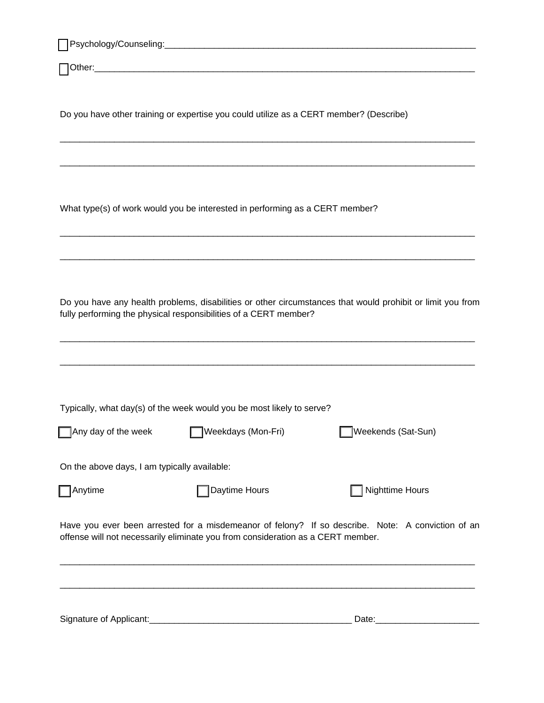|                                              | Do you have other training or expertise you could utilize as a CERT member? (Describe) |                                                                                                            |
|----------------------------------------------|----------------------------------------------------------------------------------------|------------------------------------------------------------------------------------------------------------|
|                                              |                                                                                        |                                                                                                            |
|                                              | What type(s) of work would you be interested in performing as a CERT member?           |                                                                                                            |
|                                              |                                                                                        |                                                                                                            |
|                                              | fully performing the physical responsibilities of a CERT member?                       | Do you have any health problems, disabilities or other circumstances that would prohibit or limit you from |
|                                              |                                                                                        |                                                                                                            |
|                                              | Typically, what day(s) of the week would you be most likely to serve?                  |                                                                                                            |
| Any day of the week                          | Weekdays (Mon-Fri)                                                                     | Weekends (Sat-Sun)                                                                                         |
| On the above days, I am typically available: |                                                                                        |                                                                                                            |
| Anytime                                      | Daytime Hours                                                                          | <b>Nighttime Hours</b>                                                                                     |
|                                              | offense will not necessarily eliminate you from consideration as a CERT member.        | Have you ever been arrested for a misdemeanor of felony? If so describe. Note: A conviction of an          |
|                                              |                                                                                        | Date:                                                                                                      |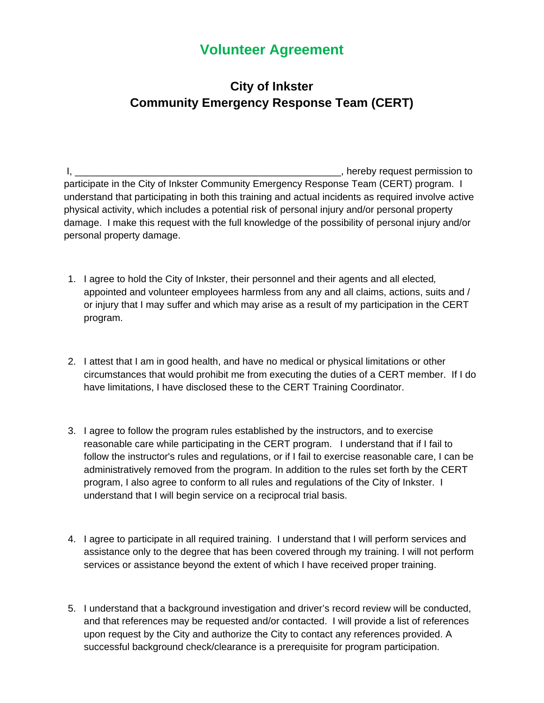# **Volunteer Agreement**

# **City of Inkster Community Emergency Response Team (CERT)**

I, \_\_\_\_\_\_\_\_\_\_\_\_\_\_\_\_\_\_\_\_\_\_\_\_\_\_\_\_\_\_\_\_\_\_\_\_\_\_\_\_\_\_\_\_\_\_\_\_\_, hereby request permission to participate in the City of Inkster Community Emergency Response Team (CERT) program. I understand that participating in both this training and actual incidents as required involve active physical activity, which includes a potential risk of personal injury and/or personal property damage. I make this request with the full knowledge of the possibility of personal injury and/or personal property damage.

- 1. I agree to hold the City of Inkster, their personnel and their agents and all elected*,*  appointed and volunteer employees harmless from any and all claims, actions, suits and / or injury that I may suffer and which may arise as a result of my participation in the CERT program.
- 2. I attest that I am in good health, and have no medical or physical limitations or other circumstances that would prohibit me from executing the duties of a CERT member. If I do have limitations, I have disclosed these to the CERT Training Coordinator.
- 3. I agree to follow the program rules established by the instructors, and to exercise reasonable care while participating in the CERT program. I understand that if I fail to follow the instructor's rules and regulations, or if I fail to exercise reasonable care, I can be administratively removed from the program. In addition to the rules set forth by the CERT program, I also agree to conform to all rules and regulations of the City of Inkster. I understand that I will begin service on a reciprocal trial basis.
- 4. I agree to participate in all required training. I understand that I will perform services and assistance only to the degree that has been covered through my training. I will not perform services or assistance beyond the extent of which I have received proper training.
- 5. I understand that a background investigation and driver's record review will be conducted, and that references may be requested and/or contacted. I will provide a list of references upon request by the City and authorize the City to contact any references provided. A successful background check/clearance is a prerequisite for program participation.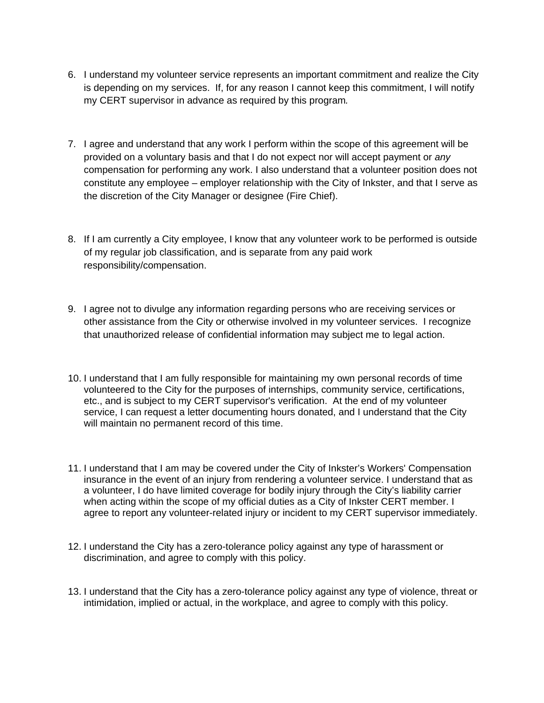- 6. I understand my volunteer service represents an important commitment and realize the City is depending on my services. If, for any reason I cannot keep this commitment, I will notify my CERT supervisor in advance as required by this program*.*
- 7. I agree and understand that any work I perform within the scope of this agreement will be provided on a voluntary basis and that I do not expect nor will accept payment or *any*  compensation for performing any work. I also understand that a volunteer position does not constitute any employee – employer relationship with the City of Inkster, and that I serve as the discretion of the City Manager or designee (Fire Chief).
- 8. If I am currently a City employee, I know that any volunteer work to be performed is outside of my regular job classification, and is separate from any paid work responsibility/compensation.
- 9. I agree not to divulge any information regarding persons who are receiving services or other assistance from the City or otherwise involved in my volunteer services. I recognize that unauthorized release of confidential information may subject me to legal action.
- 10. I understand that I am fully responsible for maintaining my own personal records of time volunteered to the City for the purposes of internships, community service, certifications, etc., and is subject to my CERT supervisor's verification. At the end of my volunteer service, I can request a letter documenting hours donated, and I understand that the City will maintain no permanent record of this time.
- 11. I understand that I am may be covered under the City of Inkster's Workers' Compensation insurance in the event of an injury from rendering a volunteer service. I understand that as a volunteer, I do have limited coverage for bodily injury through the City's liability carrier when acting within the scope of my official duties as a City of Inkster CERT member. I agree to report any volunteer-related injury or incident to my CERT supervisor immediately.
- 12. I understand the City has a zero-tolerance policy against any type of harassment or discrimination, and agree to comply with this policy.
- 13. I understand that the City has a zero-tolerance policy against any type of violence, threat or intimidation, implied or actual, in the workplace, and agree to comply with this policy.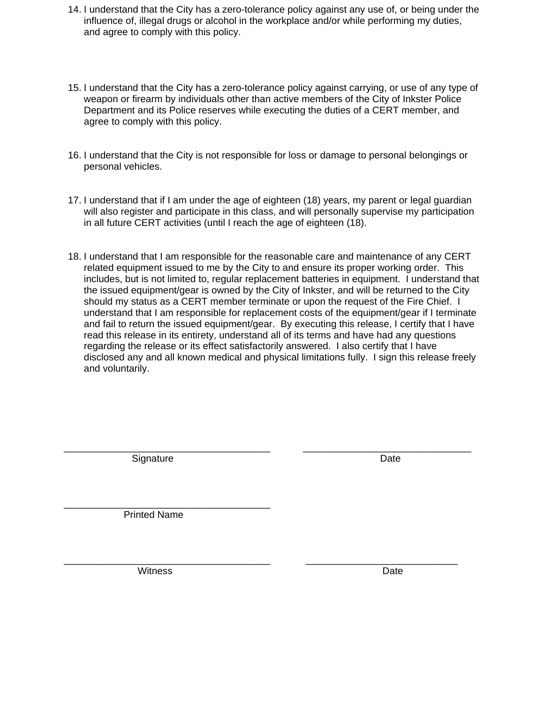- 14. I understand that the City has a zero-tolerance policy against any use of, or being under the influence of, illegal drugs or alcohol in the workplace and/or while performing my duties, and agree to comply with this policy.
- 15. I understand that the City has a zero-tolerance policy against carrying, or use of any type of weapon or firearm by individuals other than active members of the City of Inkster Police Department and its Police reserves while executing the duties of a CERT member, and agree to comply with this policy.
- 16. I understand that the City is not responsible for loss or damage to personal belongings or personal vehicles.
- 17. I understand that if I am under the age of eighteen (18) years, my parent or legal guardian will also register and participate in this class, and will personally supervise my participation in all future CERT activities (until I reach the age of eighteen (18).
- 18. I understand that I am responsible for the reasonable care and maintenance of any CERT related equipment issued to me by the City to and ensure its proper working order. This includes, but is not limited to, regular replacement batteries in equipment. I understand that the issued equipment/gear is owned by the City of Inkster, and will be returned to the City should my status as a CERT member terminate or upon the request of the Fire Chief. I understand that I am responsible for replacement costs of the equipment/gear if I terminate and fail to return the issued equipment/gear. By executing this release, I certify that I have read this release in its entirety, understand all of its terms and have had any questions regarding the release or its effect satisfactorily answered. I also certify that I have disclosed any and all known medical and physical limitations fully. I sign this release freely and voluntarily.

\_\_\_\_\_\_\_\_\_\_\_\_\_\_\_\_\_\_\_\_\_\_\_\_\_\_\_\_\_\_\_\_\_\_\_\_\_\_ \_\_\_\_\_\_\_\_\_\_\_\_\_\_\_\_\_\_\_\_\_\_\_\_\_\_\_\_\_\_\_ Signature Date Date Date

\_\_\_\_\_\_\_\_\_\_\_\_\_\_\_\_\_\_\_\_\_\_\_\_\_\_\_\_\_\_\_\_\_\_\_\_\_\_ Printed Name

\_\_\_\_\_\_\_\_\_\_\_\_\_\_\_\_\_\_\_\_\_\_\_\_\_\_\_\_\_\_\_\_\_\_\_\_\_\_ \_\_\_\_\_\_\_\_\_\_\_\_\_\_\_\_\_\_\_\_\_\_\_\_\_\_\_\_ witness and the contract of the contract of the Date of the Date